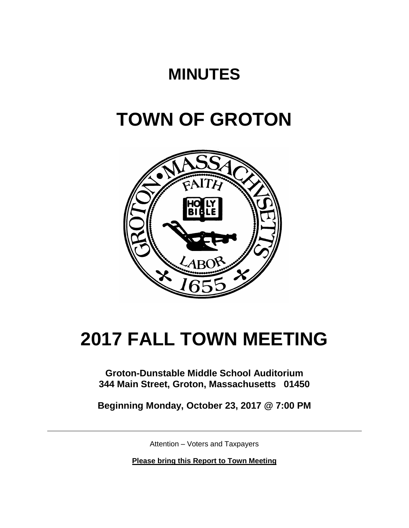## **MINUTES**

# **TOWN OF GROTON**



# **2017 FALL TOWN MEETING**

### **Groton-Dunstable Middle School Auditorium 344 Main Street, Groton, Massachusetts 01450**

**Beginning Monday, October 23, 2017 @ 7:00 PM**

Attention – Voters and Taxpayers

**Please bring this Report to Town Meeting**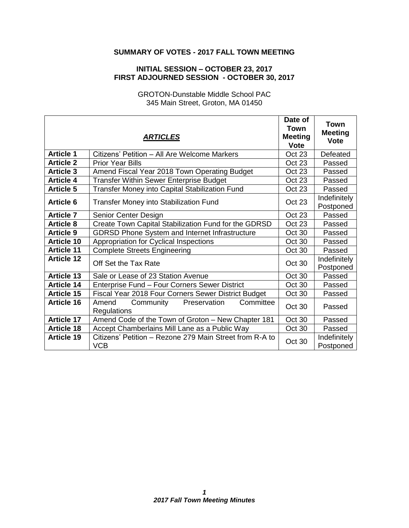### **SUMMARY OF VOTES - 2017 FALL TOWN MEETING**

#### **INITIAL SESSION – OCTOBER 23, 2017 FIRST ADJOURNED SESSION - OCTOBER 30, 2017**

GROTON-Dunstable Middle School PAC 345 Main Street, Groton, MA 01450

|                   | <b>ARTICLES</b>                                                       | Date of<br><b>Town</b><br><b>Meeting</b><br><b>Vote</b> | <b>Town</b><br><b>Meeting</b><br><b>Vote</b> |
|-------------------|-----------------------------------------------------------------------|---------------------------------------------------------|----------------------------------------------|
| <b>Article 1</b>  | Citizens' Petition – All Are Welcome Markers                          | Oct 23                                                  | Defeated                                     |
| <b>Article 2</b>  | <b>Prior Year Bills</b>                                               | Oct 23                                                  | Passed                                       |
| <b>Article 3</b>  | Amend Fiscal Year 2018 Town Operating Budget                          | Oct 23                                                  | Passed                                       |
| <b>Article 4</b>  | <b>Transfer Within Sewer Enterprise Budget</b>                        | Oct 23                                                  | Passed                                       |
| <b>Article 5</b>  | Transfer Money into Capital Stabilization Fund                        | Oct 23                                                  | Passed                                       |
| <b>Article 6</b>  | <b>Transfer Money into Stabilization Fund</b>                         | <b>Oct 23</b>                                           | Indefinitely<br>Postponed                    |
| <b>Article 7</b>  | Senior Center Design                                                  | Oct 23                                                  | Passed                                       |
| <b>Article 8</b>  | Create Town Capital Stabilization Fund for the GDRSD                  | <b>Oct 23</b>                                           | Passed                                       |
| <b>Article 9</b>  | <b>GDRSD Phone System and Internet Infrastructure</b>                 | Oct 30                                                  | Passed                                       |
| <b>Article 10</b> | Appropriation for Cyclical Inspections                                | Oct 30                                                  | Passed                                       |
| <b>Article 11</b> | <b>Complete Streets Engineering</b>                                   | Oct 30                                                  | Passed                                       |
| <b>Article 12</b> | Off Set the Tax Rate                                                  | Oct 30                                                  | Indefinitely<br>Postponed                    |
| <b>Article 13</b> | Sale or Lease of 23 Station Avenue                                    | Oct 30                                                  | Passed                                       |
| <b>Article 14</b> | Enterprise Fund - Four Corners Sewer District                         | Oct 30                                                  | Passed                                       |
| <b>Article 15</b> | Fiscal Year 2018 Four Corners Sewer District Budget                   | Oct 30                                                  | Passed                                       |
| <b>Article 16</b> | Preservation<br>Committee<br>Community<br>Amend<br><b>Regulations</b> | Oct 30                                                  | Passed                                       |
| <b>Article 17</b> | Amend Code of the Town of Groton - New Chapter 181                    | Oct 30                                                  | Passed                                       |
| <b>Article 18</b> | Accept Chamberlains Mill Lane as a Public Way                         | Oct 30                                                  | Passed                                       |
| <b>Article 19</b> | Citizens' Petition - Rezone 279 Main Street from R-A to<br><b>VCB</b> | Oct 30                                                  | Indefinitely<br>Postponed                    |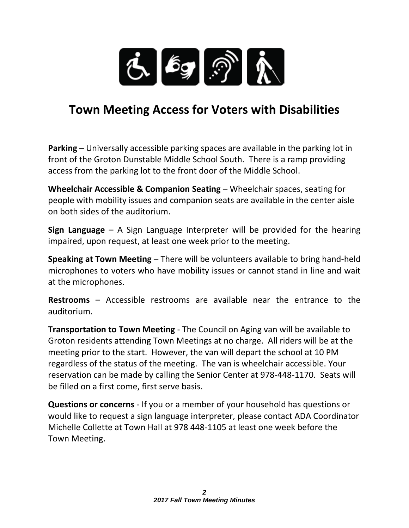

## **Town Meeting Access for Voters with Disabilities**

**Parking** – Universally accessible parking spaces are available in the parking lot in front of the Groton Dunstable Middle School South. There is a ramp providing access from the parking lot to the front door of the Middle School.

**Wheelchair Accessible & Companion Seating** – Wheelchair spaces, seating for people with mobility issues and companion seats are available in the center aisle on both sides of the auditorium.

**Sign Language** – A Sign Language Interpreter will be provided for the hearing impaired, upon request, at least one week prior to the meeting.

**Speaking at Town Meeting** – There will be volunteers available to bring hand-held microphones to voters who have mobility issues or cannot stand in line and wait at the microphones.

**Restrooms** – Accessible restrooms are available near the entrance to the auditorium.

**Transportation to Town Meeting** - The Council on Aging van will be available to Groton residents attending Town Meetings at no charge. All riders will be at the meeting prior to the start. However, the van will depart the school at 10 PM regardless of the status of the meeting. The van is wheelchair accessible. Your reservation can be made by calling the Senior Center at 978-448-1170. Seats will be filled on a first come, first serve basis.

**Questions or concerns** - If you or a member of your household has questions or would like to request a sign language interpreter, please contact ADA Coordinator Michelle Collette at Town Hall at 978 448-1105 at least one week before the Town Meeting.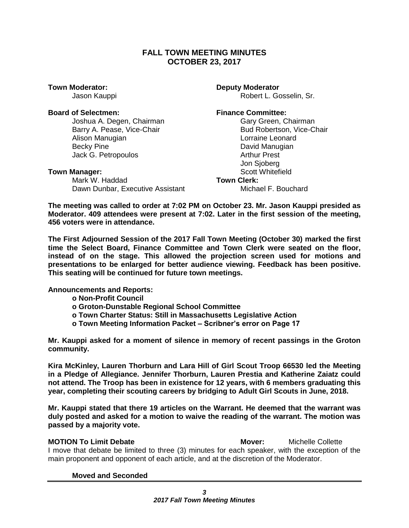### **FALL TOWN MEETING MINUTES OCTOBER 23, 2017**

**Town Moderator: Deputy Moderator** 

#### **Board of Selectmen: Finance Committee:**

Joshua A. Degen, Chairman Gary Gary Green, Chairman Alison Manugian **Lorraine** Lorraine Leonard Becky Pine **David Manugian** Jack G. Petropoulos **Arthur Prest** 

Mark W. Haddad **Town Clerk:** Dawn Dunbar, Executive Assistant Michael F. Bouchard

Jason Kauppi **Australian Controller Entity Controller** Robert L. Gosselin, Sr.

Barry A. Pease, Vice-Chair **Bud Robertson, Vice-Chair** Bud Robertson, Vice-Chair Jon Sjoberg **Town Manager:** Scott Whitefield

**The meeting was called to order at 7:02 PM on October 23. Mr. Jason Kauppi presided as Moderator. 409 attendees were present at 7:02. Later in the first session of the meeting, 456 voters were in attendance.** 

**The First Adjourned Session of the 2017 Fall Town Meeting (October 30) marked the first time the Select Board, Finance Committee and Town Clerk were seated on the floor, instead of on the stage. This allowed the projection screen used for motions and presentations to be enlarged for better audience viewing. Feedback has been positive. This seating will be continued for future town meetings.** 

**Announcements and Reports:** 

**o Non-Profit Council**

- **o Groton-Dunstable Regional School Committee**
- **o Town Charter Status: Still in Massachusetts Legislative Action**
- **o Town Meeting Information Packet – Scribner's error on Page 17**

**Mr. Kauppi asked for a moment of silence in memory of recent passings in the Groton community.**

**Kira McKinley, Lauren Thorburn and Lara Hill of Girl Scout Troop 66530 led the Meeting in a Pledge of Allegiance. Jennifer Thorburn, Lauren Prestia and Katherine Zaiatz could not attend. The Troop has been in existence for 12 years, with 6 members graduating this year, completing their scouting careers by bridging to Adult Girl Scouts in June, 2018.** 

**Mr. Kauppi stated that there 19 articles on the Warrant. He deemed that the warrant was duly posted and asked for a motion to waive the reading of the warrant. The motion was passed by a majority vote.**

**MOTION To Limit Debate Mover:** Michelle Collette I move that debate be limited to three (3) minutes for each speaker, with the exception of the main proponent and opponent of each article, and at the discretion of the Moderator.

**Moved and Seconded**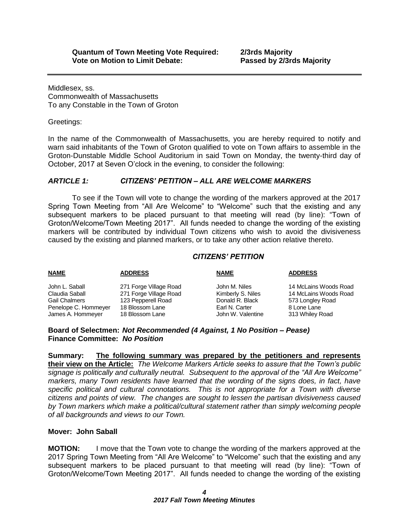Middlesex, ss. Commonwealth of Massachusetts To any Constable in the Town of Groton

Greetings:

In the name of the Commonwealth of Massachusetts, you are hereby required to notify and warn said inhabitants of the Town of Groton qualified to vote on Town affairs to assemble in the Groton-Dunstable Middle School Auditorium in said Town on Monday, the twenty-third day of October, 2017 at Seven O'clock in the evening, to consider the following:

### *ARTICLE 1: CITIZENS' PETITION – ALL ARE WELCOME MARKERS*

To see if the Town will vote to change the wording of the markers approved at the 2017 Spring Town Meeting from "All Are Welcome" to "Welcome" such that the existing and any subsequent markers to be placed pursuant to that meeting will read (by line): "Town of Groton/Welcome/Town Meeting 2017". All funds needed to change the wording of the existing markers will be contributed by individual Town citizens who wish to avoid the divisiveness caused by the existing and planned markers, or to take any other action relative thereto.

### *CITIZENS' PETITION*

| <b>NAME</b>          | <b>ADDRESS</b>         | <b>NAME</b>       | <b>ADDRESS</b>        |
|----------------------|------------------------|-------------------|-----------------------|
| John L. Saball       | 271 Forge Village Road | John M. Niles     | 14 McLains Woods Road |
| Claudia Saball       | 271 Forge Village Road | Kimberly S. Niles | 14 McLains Woods Road |
| Gail Chalmers        | 123 Pepperell Road     | Donald R. Black   | 573 Longley Road      |
| Penelope C. Hommeyer | 18 Blossom Lane        | Earl N. Carter    | 8 Lone Lane           |
| James A. Hommeyer    | 18 Blossom Lane        | John W. Valentine | 313 Whiley Road       |
|                      |                        |                   |                       |

#### **Board of Selectmen:** *Not Recommended (4 Against, 1 No Position – Pease)* **Finance Committee:** *No Position*

**Summary: The following summary was prepared by the petitioners and represents their view on the Article:** *The Welcome Markers Article seeks to assure that the Town's public signage is politically and culturally neutral. Subsequent to the approval of the "All Are Welcome" markers, many Town residents have learned that the wording of the signs does, in fact, have specific political and cultural connotations. This is not appropriate for a Town with diverse citizens and points of view. The changes are sought to lessen the partisan divisiveness caused by Town markers which make a political/cultural statement rather than simply welcoming people of all backgrounds and views to our Town.*

### **Mover: John Saball**

**MOTION:** I move that the Town vote to change the wording of the markers approved at the 2017 Spring Town Meeting from "All Are Welcome" to "Welcome" such that the existing and any subsequent markers to be placed pursuant to that meeting will read (by line): "Town of Groton/Welcome/Town Meeting 2017". All funds needed to change the wording of the existing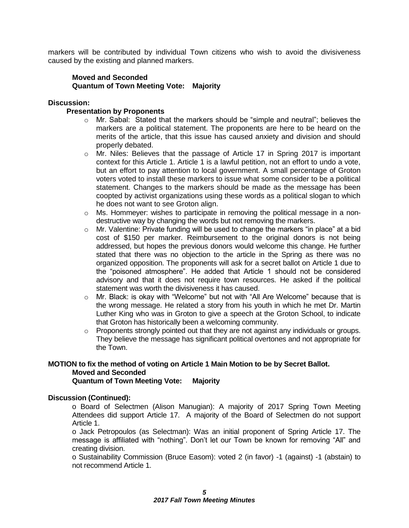markers will be contributed by individual Town citizens who wish to avoid the divisiveness caused by the existing and planned markers.

#### **Moved and Seconded Quantum of Town Meeting Vote: Majority**

#### **Discussion:**

#### **Presentation by Proponents**

- o Mr. Sabal: Stated that the markers should be "simple and neutral"; believes the markers are a political statement. The proponents are here to be heard on the merits of the article, that this issue has caused anxiety and division and should properly debated.
- o Mr. Niles: Believes that the passage of Article 17 in Spring 2017 is important context for this Article 1. Article 1 is a lawful petition, not an effort to undo a vote, but an effort to pay attention to local government. A small percentage of Groton voters voted to install these markers to issue what some consider to be a political statement. Changes to the markers should be made as the message has been coopted by activist organizations using these words as a political slogan to which he does not want to see Groton align.
- $\circ$  Ms. Hommeyer: wishes to participate in removing the political message in a nondestructive way by changing the words but not removing the markers.
- $\circ$  Mr. Valentine: Private funding will be used to change the markers "in place" at a bid cost of \$150 per marker. Reimbursement to the original donors is not being addressed, but hopes the previous donors would welcome this change. He further stated that there was no objection to the article in the Spring as there was no organized opposition. The proponents will ask for a secret ballot on Article 1 due to the "poisoned atmosphere". He added that Article 1 should not be considered advisory and that it does not require town resources. He asked if the political statement was worth the divisiveness it has caused.
- o Mr. Black: is okay with "Welcome" but not with "All Are Welcome" because that is the wrong message. He related a story from his youth in which he met Dr. Martin Luther King who was in Groton to give a speech at the Groton School, to indicate that Groton has historically been a welcoming community.
- o Proponents strongly pointed out that they are not against any individuals or groups. They believe the message has significant political overtones and not appropriate for the Town.

#### **MOTION to fix the method of voting on Article 1 Main Motion to be by Secret Ballot. Moved and Seconded Quantum of Town Meeting Vote: Majority**

#### **Discussion (Continued):**

o Board of Selectmen (Alison Manugian): A majority of 2017 Spring Town Meeting Attendees did support Article 17. A majority of the Board of Selectmen do not support Article 1.

o Jack Petropoulos (as Selectman): Was an initial proponent of Spring Article 17. The message is affiliated with "nothing". Don't let our Town be known for removing "All" and creating division.

o Sustainability Commission (Bruce Easom): voted 2 (in favor) -1 (against) -1 (abstain) to not recommend Article 1.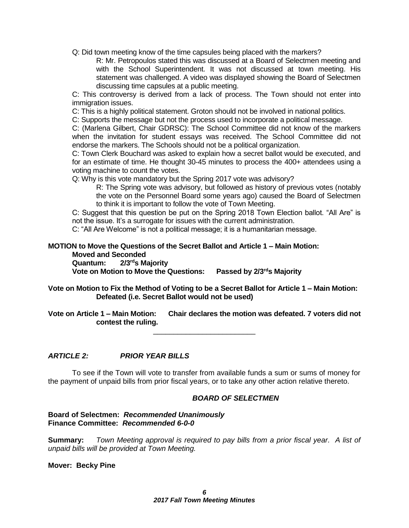Q: Did town meeting know of the time capsules being placed with the markers?

R: Mr. Petropoulos stated this was discussed at a Board of Selectmen meeting and with the School Superintendent. It was not discussed at town meeting. His statement was challenged. A video was displayed showing the Board of Selectmen discussing time capsules at a public meeting.

C: This controversy is derived from a lack of process. The Town should not enter into immigration issues.

C: This is a highly political statement. Groton should not be involved in national politics.

C: Supports the message but not the process used to incorporate a political message.

C: (Marlena Gilbert, Chair GDRSC): The School Committee did not know of the markers when the invitation for student essays was received. The School Committee did not endorse the markers. The Schools should not be a political organization.

C: Town Clerk Bouchard was asked to explain how a secret ballot would be executed, and for an estimate of time. He thought 30-45 minutes to process the 400+ attendees using a voting machine to count the votes.

Q: Why is this vote mandatory but the Spring 2017 vote was advisory?

R: The Spring vote was advisory, but followed as history of previous votes (notably the vote on the Personnel Board some years ago) caused the Board of Selectmen to think it is important to follow the vote of Town Meeting.

C: Suggest that this question be put on the Spring 2018 Town Election ballot. "All Are" is not the issue. It's a surrogate for issues with the current administration.

C: "All Are Welcome" is not a political message; it is a humanitarian message.

**MOTION to Move the Questions of the Secret Ballot and Article 1 – Main Motion: Moved and Seconded**

**Quantum: 2/3rds Majority**

**Vote on Motion to Move the Questions: Passed by 2/3rds Majority**

**Vote on Motion to Fix the Method of Voting to be a Secret Ballot for Article 1 – Main Motion: Defeated (i.e. Secret Ballot would not be used)**

**Vote on Article 1 – Main Motion: Chair declares the motion was defeated. 7 voters did not contest the ruling.** \_\_\_\_\_\_\_\_\_\_\_\_\_\_\_\_\_\_\_\_\_\_\_\_\_

*ARTICLE 2: PRIOR YEAR BILLS*

To see if the Town will vote to transfer from available funds a sum or sums of money for the payment of unpaid bills from prior fiscal years, or to take any other action relative thereto.

#### *BOARD OF SELECTMEN*

#### **Board of Selectmen:** *Recommended Unanimously* **Finance Committee:** *Recommended 6-0-0*

**Summary:** *Town Meeting approval is required to pay bills from a prior fiscal year. A list of unpaid bills will be provided at Town Meeting.*

**Mover: Becky Pine**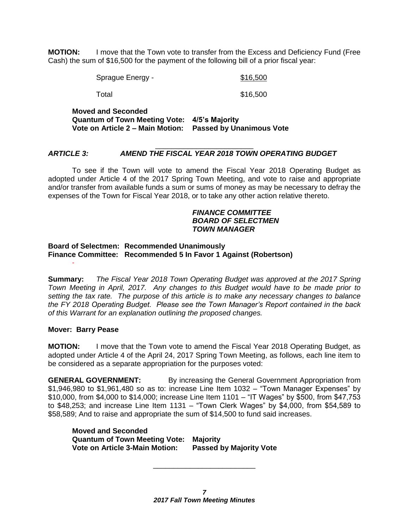**MOTION:** I move that the Town vote to transfer from the Excess and Deficiency Fund (Free Cash) the sum of \$16,500 for the payment of the following bill of a prior fiscal year:

Sprague Energy - \$16,500

Total \$16,500

**Moved and Seconded Quantum of Town Meeting Vote: 4/5's Majority Vote on Article 2 – Main Motion: Passed by Unanimous Vote**

#### \_\_\_\_\_\_\_\_\_\_\_\_\_\_\_\_\_\_\_\_\_\_\_\_ *ARTICLE 3: AMEND THE FISCAL YEAR 2018 TOWN OPERATING BUDGET*

To see if the Town will vote to amend the Fiscal Year 2018 Operating Budget as adopted under Article 4 of the 2017 Spring Town Meeting, and vote to raise and appropriate and/or transfer from available funds a sum or sums of money as may be necessary to defray the expenses of the Town for Fiscal Year 2018, or to take any other action relative thereto.

#### *FINANCE COMMITTEE BOARD OF SELECTMEN TOWN MANAGER*

#### **Board of Selectmen: Recommended Unanimously Finance Committee: Recommended 5 In Favor 1 Against (Robertson)**

**Summary:** *The Fiscal Year 2018 Town Operating Budget was approved at the 2017 Spring Town Meeting in April, 2017. Any changes to this Budget would have to be made prior to setting the tax rate. The purpose of this article is to make any necessary changes to balance the FY 2018 Operating Budget. Please see the Town Manager's Report contained in the back of this Warrant for an explanation outlining the proposed changes.*

#### **Mover: Barry Pease**

-

**MOTION:** I move that the Town vote to amend the Fiscal Year 2018 Operating Budget, as adopted under Article 4 of the April 24, 2017 Spring Town Meeting, as follows, each line item to be considered as a separate appropriation for the purposes voted:

**GENERAL GOVERNMENT:** By increasing the General Government Appropriation from \$1,946,980 to \$1,961,480 so as to: increase Line Item 1032 – "Town Manager Expenses" by \$10,000, from \$4,000 to \$14,000; increase Line Item 1101 – "IT Wages" by \$500, from \$47,753 to \$48,253; and increase Line Item 1131 – "Town Clerk Wages" by \$4,000, from \$54,589 to \$58,589; And to raise and appropriate the sum of \$14,500 to fund said increases.

**Moved and Seconded Quantum of Town Meeting Vote: Majority Vote on Article 3-Main Motion: Passed by Majority Vote**

\_\_\_\_\_\_\_\_\_\_\_\_\_\_\_\_\_\_\_\_\_\_\_\_\_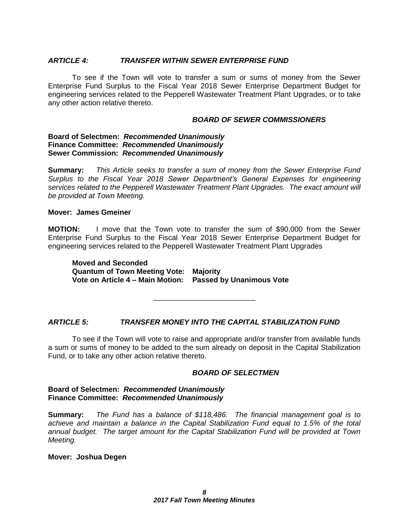#### *ARTICLE 4: TRANSFER WITHIN SEWER ENTERPRISE FUND*

To see if the Town will vote to transfer a sum or sums of money from the Sewer Enterprise Fund Surplus to the Fiscal Year 2018 Sewer Enterprise Department Budget for engineering services related to the Pepperell Wastewater Treatment Plant Upgrades, or to take any other action relative thereto.

#### *BOARD OF SEWER COMMISSIONERS*

#### **Board of Selectmen:** *Recommended Unanimously* **Finance Committee:** *Recommended Unanimously* **Sewer Commission:** *Recommended Unanimously*

**Summary:** *This Article seeks to transfer a sum of money from the Sewer Enterprise Fund Surplus to the Fiscal Year 2018 Sewer Department's General Expenses for engineering services related to the Pepperell Wastewater Treatment Plant Upgrades. The exact amount will be provided at Town Meeting.*

#### **Mover: James Gmeiner**

**MOTION:** I move that the Town vote to transfer the sum of \$90,000 from the Sewer Enterprise Fund Surplus to the Fiscal Year 2018 Sewer Enterprise Department Budget for engineering services related to the Pepperell Wastewater Treatment Plant Upgrades

**Moved and Seconded Quantum of Town Meeting Vote: Majority Vote on Article 4 – Main Motion: Passed by Unanimous Vote**

*ARTICLE 5: TRANSFER MONEY INTO THE CAPITAL STABILIZATION FUND*

To see if the Town will vote to raise and appropriate and/or transfer from available funds a sum or sums of money to be added to the sum already on deposit in the Capital Stabilization Fund, or to take any other action relative thereto.

\_\_\_\_\_\_\_\_\_\_\_\_\_\_\_\_\_\_\_\_\_\_\_\_\_

#### *BOARD OF SELECTMEN*

#### **Board of Selectmen:** *Recommended Unanimously* **Finance Committee:** *Recommended Unanimously*

**Summary:** *The Fund has a balance of \$118,486. The financial management goal is to achieve and maintain a balance in the Capital Stabilization Fund equal to 1.5% of the total annual budget. The target amount for the Capital Stabilization Fund will be provided at Town Meeting.*

#### **Mover: Joshua Degen**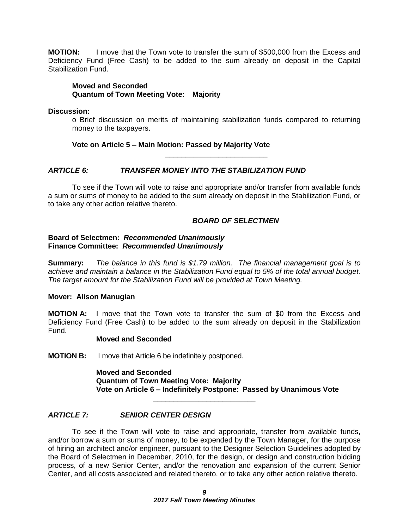**MOTION:** I move that the Town vote to transfer the sum of \$500,000 from the Excess and Deficiency Fund (Free Cash) to be added to the sum already on deposit in the Capital Stabilization Fund.

#### **Moved and Seconded Quantum of Town Meeting Vote: Majority**

#### **Discussion:**

o Brief discussion on merits of maintaining stabilization funds compared to returning money to the taxpayers.

#### **Vote on Article 5 – Main Motion: Passed by Majority Vote**

\_\_\_\_\_\_\_\_\_\_\_\_\_\_\_\_\_\_\_\_\_\_\_\_\_

### *ARTICLE 6: TRANSFER MONEY INTO THE STABILIZATION FUND*

To see if the Town will vote to raise and appropriate and/or transfer from available funds a sum or sums of money to be added to the sum already on deposit in the Stabilization Fund, or to take any other action relative thereto.

#### *BOARD OF SELECTMEN*

#### **Board of Selectmen:** *Recommended Unanimously* **Finance Committee:** *Recommended Unanimously*

**Summary:** *The balance in this fund is \$1.79 million. The financial management goal is to achieve and maintain a balance in the Stabilization Fund equal to 5% of the total annual budget. The target amount for the Stabilization Fund will be provided at Town Meeting.*

#### **Mover: Alison Manugian**

**MOTION A:** I move that the Town vote to transfer the sum of \$0 from the Excess and Deficiency Fund (Free Cash) to be added to the sum already on deposit in the Stabilization Fund.

#### **Moved and Seconded**

**MOTION B:** I move that Article 6 be indefinitely postponed.

**Moved and Seconded Quantum of Town Meeting Vote: Majority Vote on Article 6 – Indefinitely Postpone: Passed by Unanimous Vote**

### *ARTICLE 7: SENIOR CENTER DESIGN*

To see if the Town will vote to raise and appropriate, transfer from available funds, and/or borrow a sum or sums of money, to be expended by the Town Manager, for the purpose of hiring an architect and/or engineer, pursuant to the Designer Selection Guidelines adopted by the Board of Selectmen in December, 2010, for the design, or design and construction bidding process, of a new Senior Center, and/or the renovation and expansion of the current Senior Center, and all costs associated and related thereto, or to take any other action relative thereto.

\_\_\_\_\_\_\_\_\_\_\_\_\_\_\_\_\_\_\_\_\_\_\_\_\_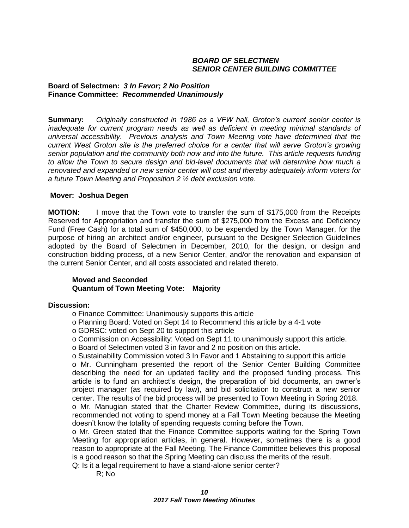#### *BOARD OF SELECTMEN SENIOR CENTER BUILDING COMMITTEE*

#### **Board of Selectmen:** *3 In Favor; 2 No Position* **Finance Committee:** *Recommended Unanimously*

**Summary:** *Originally constructed in 1986 as a VFW hall, Groton's current senior center is inadequate for current program needs as well as deficient in meeting minimal standards of universal accessibility. Previous analysis and Town Meeting vote have determined that the current West Groton site is the preferred choice for a center that will serve Groton's growing senior population and the community both now and into the future. This article requests funding to allow the Town to secure design and bid-level documents that will determine how much a renovated and expanded or new senior center will cost and thereby adequately inform voters for a future Town Meeting and Proposition 2 ½ debt exclusion vote.* 

#### **Mover: Joshua Degen**

**MOTION:** I move that the Town vote to transfer the sum of \$175,000 from the Receipts Reserved for Appropriation and transfer the sum of \$275,000 from the Excess and Deficiency Fund (Free Cash) for a total sum of \$450,000, to be expended by the Town Manager, for the purpose of hiring an architect and/or engineer, pursuant to the Designer Selection Guidelines adopted by the Board of Selectmen in December, 2010, for the design, or design and construction bidding process, of a new Senior Center, and/or the renovation and expansion of the current Senior Center, and all costs associated and related thereto.

#### **Moved and Seconded Quantum of Town Meeting Vote: Majority**

#### **Discussion:**

- o Finance Committee: Unanimously supports this article
- o Planning Board: Voted on Sept 14 to Recommend this article by a 4-1 vote
- o GDRSC: voted on Sept 20 to support this article
- o Commission on Accessibility: Voted on Sept 11 to unanimously support this article.
- o Board of Selectmen voted 3 in favor and 2 no position on this article.
- o Sustainability Commission voted 3 In Favor and 1 Abstaining to support this article

o Mr. Cunningham presented the report of the Senior Center Building Committee describing the need for an updated facility and the proposed funding process. This article is to fund an architect's design, the preparation of bid documents, an owner's project manager (as required by law), and bid solicitation to construct a new senior center. The results of the bid process will be presented to Town Meeting in Spring 2018.

o Mr. Manugian stated that the Charter Review Committee, during its discussions, recommended not voting to spend money at a Fall Town Meeting because the Meeting doesn't know the totality of spending requests coming before the Town.

o Mr. Green stated that the Finance Committee supports waiting for the Spring Town Meeting for appropriation articles, in general. However, sometimes there is a good reason to appropriate at the Fall Meeting. The Finance Committee believes this proposal is a good reason so that the Spring Meeting can discuss the merits of the result.

Q: Is it a legal requirement to have a stand-alone senior center?

R; No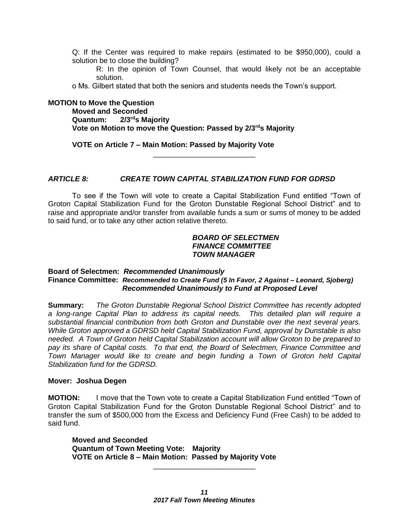Q: If the Center was required to make repairs (estimated to be \$950,000), could a solution be to close the building?

R: In the opinion of Town Counsel, that would likely not be an acceptable solution.

o Ms. Gilbert stated that both the seniors and students needs the Town's support.

#### **MOTION to Move the Question**

**Moved and Seconded Quantum: 2/3rds Majority Vote on Motion to move the Question: Passed by 2/3rds Majority** 

**VOTE on Article 7 – Main Motion: Passed by Majority Vote**

#### *ARTICLE 8: CREATE TOWN CAPITAL STABILIZATION FUND FOR GDRSD*

To see if the Town will vote to create a Capital Stabilization Fund entitled "Town of Groton Capital Stabilization Fund for the Groton Dunstable Regional School District" and to raise and appropriate and/or transfer from available funds a sum or sums of money to be added to said fund, or to take any other action relative thereto.

\_\_\_\_\_\_\_\_\_\_\_\_\_\_\_\_\_\_\_\_\_\_\_\_\_

#### *BOARD OF SELECTMEN FINANCE COMMITTEE TOWN MANAGER*

#### **Board of Selectmen:** *Recommended Unanimously* **Finance Committee:** *Recommended to Create Fund (5 In Favor, 2 Against – Leonard, Sjoberg) Recommended Unanimously to Fund at Proposed Level*

**Summary:** *The Groton Dunstable Regional School District Committee has recently adopted a long-range Capital Plan to address its capital needs. This detailed plan will require a substantial financial contribution from both Groton and Dunstable over the next several years. While Groton approved a GDRSD held Capital Stabilization Fund, approval by Dunstable is also needed. A Town of Groton held Capital Stabilization account will allow Groton to be prepared to pay its share of Capital costs. To that end, the Board of Selectmen, Finance Committee and Town Manager would like to create and begin funding a Town of Groton held Capital Stabilization fund for the GDRSD.*

#### **Mover: Joshua Degen**

**MOTION:** I move that the Town vote to create a Capital Stabilization Fund entitled "Town of Groton Capital Stabilization Fund for the Groton Dunstable Regional School District" and to transfer the sum of \$500,000 from the Excess and Deficiency Fund (Free Cash) to be added to said fund.

**Moved and Seconded Quantum of Town Meeting Vote: Majority VOTE on Article 8 – Main Motion: Passed by Majority Vote**

\_\_\_\_\_\_\_\_\_\_\_\_\_\_\_\_\_\_\_\_\_\_\_\_\_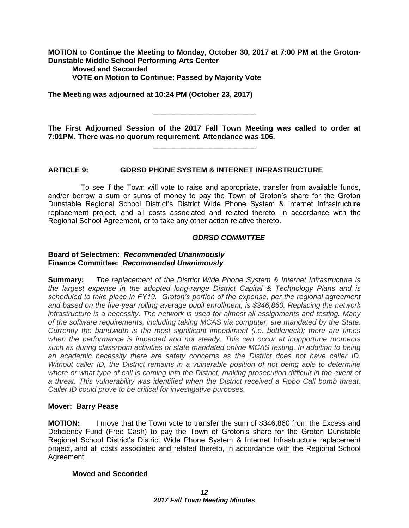**MOTION to Continue the Meeting to Monday, October 30, 2017 at 7:00 PM at the Groton-Dunstable Middle School Performing Arts Center**

**Moved and Seconded VOTE on Motion to Continue: Passed by Majority Vote**

**The Meeting was adjourned at 10:24 PM (October 23, 2017)**

\_\_\_\_\_\_\_\_\_\_\_\_\_\_\_\_\_\_\_\_\_\_\_\_\_

**The First Adjourned Session of the 2017 Fall Town Meeting was called to order at 7:01PM. There was no quorum requirement. Attendance was 106.** \_\_\_\_\_\_\_\_\_\_\_\_\_\_\_\_\_\_\_\_\_\_\_\_\_

### **ARTICLE 9: GDRSD PHONE SYSTEM & INTERNET INFRASTRUCTURE**

 To see if the Town will vote to raise and appropriate, transfer from available funds, and/or borrow a sum or sums of money to pay the Town of Groton's share for the Groton Dunstable Regional School District's District Wide Phone System & Internet Infrastructure replacement project, and all costs associated and related thereto, in accordance with the Regional School Agreement, or to take any other action relative thereto.

#### *GDRSD COMMITTEE*

#### **Board of Selectmen:** *Recommended Unanimously* **Finance Committee:** *Recommended Unanimously*

**Summary:** *The replacement of the District Wide Phone System & Internet Infrastructure is the largest expense in the adopted long-range District Capital & Technology Plans and is scheduled to take place in FY19. Groton's portion of the expense, per the regional agreement and based on the five-year rolling average pupil enrollment, is \$346,860. Replacing the network infrastructure is a necessity. The network is used for almost all assignments and testing. Many of the software requirements, including taking MCAS via computer, are mandated by the State. Currently the bandwidth is the most significant impediment (i.e. bottleneck); there are times when the performance is impacted and not steady. This can occur at inopportune moments such as during classroom activities or state mandated online MCAS testing. In addition to being an academic necessity there are safety concerns as the District does not have caller ID. Without caller ID, the District remains in a vulnerable position of not being able to determine where or what type of call is coming into the District, making prosecution difficult in the event of a threat. This vulnerability was identified when the District received a Robo Call bomb threat. Caller ID could prove to be critical for investigative purposes.*

### **Mover: Barry Pease**

**MOTION:** I move that the Town vote to transfer the sum of \$346,860 from the Excess and Deficiency Fund (Free Cash) to pay the Town of Groton's share for the Groton Dunstable Regional School District's District Wide Phone System & Internet Infrastructure replacement project, and all costs associated and related thereto, in accordance with the Regional School Agreement.

### **Moved and Seconded**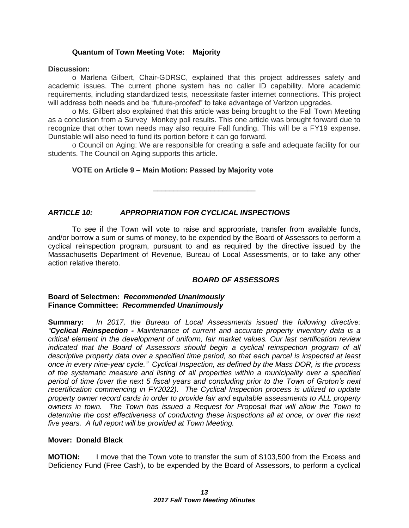### **Quantum of Town Meeting Vote: Majority**

#### **Discussion:**

o Marlena Gilbert, Chair-GDRSC, explained that this project addresses safety and academic issues. The current phone system has no caller ID capability. More academic requirements, including standardized tests, necessitate faster internet connections. This project will address both needs and be "future-proofed" to take advantage of Verizon upgrades.

o Ms. Gilbert also explained that this article was being brought to the Fall Town Meeting as a conclusion from a Survey Monkey poll results. This one article was brought forward due to recognize that other town needs may also require Fall funding. This will be a FY19 expense. Dunstable will also need to fund its portion before it can go forward.

o Council on Aging: We are responsible for creating a safe and adequate facility for our students. The Council on Aging supports this article.

#### **VOTE on Article 9 – Main Motion: Passed by Majority vote**

\_\_\_\_\_\_\_\_\_\_\_\_\_\_\_\_\_\_\_\_\_\_\_\_\_

### *ARTICLE 10: APPROPRIATION FOR CYCLICAL INSPECTIONS*

To see if the Town will vote to raise and appropriate, transfer from available funds, and/or borrow a sum or sums of money, to be expended by the Board of Assessors to perform a cyclical reinspection program, pursuant to and as required by the directive issued by the Massachusetts Department of Revenue, Bureau of Local Assessments, or to take any other action relative thereto.

#### *BOARD OF ASSESSORS*

#### **Board of Selectmen:** *Recommended Unanimously* **Finance Committee:** *Recommended Unanimously*

**Summary:** *In 2017, the Bureau of Local Assessments issued the following directive: "Cyclical Reinspection - Maintenance of current and accurate property inventory data is a critical element in the development of uniform, fair market values. Our last certification review indicated that the Board of Assessors should begin a cyclical reinspection program of all descriptive property data over a specified time period, so that each parcel is inspected at least once in every nine-year cycle." Cyclical Inspection, as defined by the Mass DOR, is the process of the systematic measure and listing of all properties within a municipality over a specified period of time (over the next 5 fiscal years and concluding prior to the Town of Groton's next recertification commencing in FY2022). The Cyclical Inspection process is utilized to update property owner record cards in order to provide fair and equitable assessments to ALL property owners in town. The Town has issued a Request for Proposal that will allow the Town to determine the cost effectiveness of conducting these inspections all at once, or over the next five years. A full report will be provided at Town Meeting.* 

### **Mover: Donald Black**

**MOTION:** I move that the Town vote to transfer the sum of \$103,500 from the Excess and Deficiency Fund (Free Cash), to be expended by the Board of Assessors, to perform a cyclical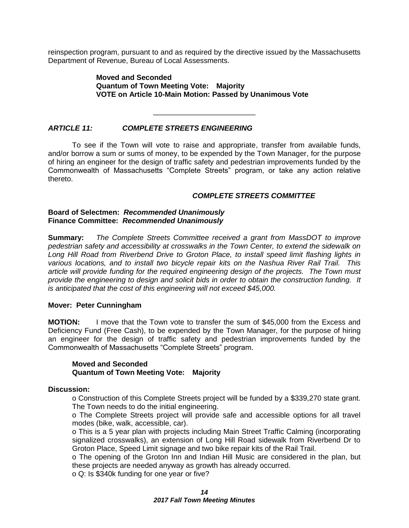reinspection program, pursuant to and as required by the directive issued by the Massachusetts Department of Revenue, Bureau of Local Assessments.

#### **Moved and Seconded Quantum of Town Meeting Vote: Majority VOTE on Article 10-Main Motion: Passed by Unanimous Vote**

\_\_\_\_\_\_\_\_\_\_\_\_\_\_\_\_\_\_\_\_\_\_\_\_\_

#### *ARTICLE 11: COMPLETE STREETS ENGINEERING*

To see if the Town will vote to raise and appropriate, transfer from available funds, and/or borrow a sum or sums of money, to be expended by the Town Manager, for the purpose of hiring an engineer for the design of traffic safety and pedestrian improvements funded by the Commonwealth of Massachusetts "Complete Streets" program, or take any action relative thereto.

#### *COMPLETE STREETS COMMITTEE*

#### **Board of Selectmen:** *Recommended Unanimously* **Finance Committee:** *Recommended Unanimously*

**Summary:** *The Complete Streets Committee received a grant from MassDOT to improve pedestrian safety and accessibility at crosswalks in the Town Center, to extend the sidewalk on Long Hill Road from Riverbend Drive to Groton Place, to install speed limit flashing lights in various locations, and to install two bicycle repair kits on the Nashua River Rail Trail. This article will provide funding for the required engineering design of the projects. The Town must provide the engineering to design and solicit bids in order to obtain the construction funding. It is anticipated that the cost of this engineering will not exceed \$45,000.*

#### **Mover: Peter Cunningham**

**MOTION:** I move that the Town vote to transfer the sum of \$45,000 from the Excess and Deficiency Fund (Free Cash), to be expended by the Town Manager, for the purpose of hiring an engineer for the design of traffic safety and pedestrian improvements funded by the Commonwealth of Massachusetts "Complete Streets" program.

#### **Moved and Seconded Quantum of Town Meeting Vote: Majority**

#### **Discussion:**

o Construction of this Complete Streets project will be funded by a \$339,270 state grant. The Town needs to do the initial engineering.

o The Complete Streets project will provide safe and accessible options for all travel modes (bike, walk, accessible, car).

o This is a 5 year plan with projects including Main Street Traffic Calming (incorporating signalized crosswalks), an extension of Long Hill Road sidewalk from Riverbend Dr to Groton Place, Speed Limit signage and two bike repair kits of the Rail Trail.

o The opening of the Groton Inn and Indian Hill Music are considered in the plan, but these projects are needed anyway as growth has already occurred.

o Q: Is \$340k funding for one year or five?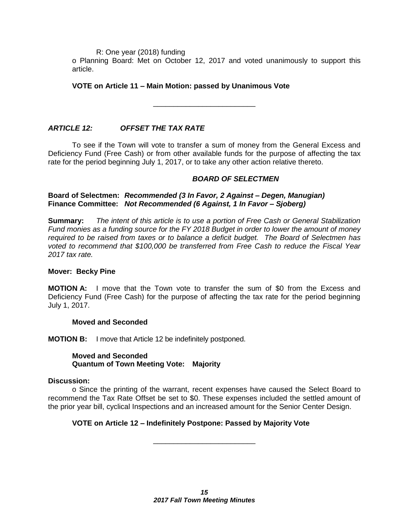R: One year (2018) funding

o Planning Board: Met on October 12, 2017 and voted unanimously to support this article.

#### **VOTE on Article 11 – Main Motion: passed by Unanimous Vote**

*ARTICLE 12: OFFSET THE TAX RATE*

To see if the Town will vote to transfer a sum of money from the General Excess and Deficiency Fund (Free Cash) or from other available funds for the purpose of affecting the tax rate for the period beginning July 1, 2017, or to take any other action relative thereto.

\_\_\_\_\_\_\_\_\_\_\_\_\_\_\_\_\_\_\_\_\_\_\_\_\_

#### *BOARD OF SELECTMEN*

**Board of Selectmen:** *Recommended (3 In Favor, 2 Against – Degen, Manugian)* **Finance Committee:** *Not Recommended (6 Against, 1 In Favor – Sjoberg)*

**Summary:** *The intent of this article is to use a portion of Free Cash or General Stabilization Fund monies as a funding source for the FY 2018 Budget in order to lower the amount of money required to be raised from taxes or to balance a deficit budget. The Board of Selectmen has voted to recommend that \$100,000 be transferred from Free Cash to reduce the Fiscal Year 2017 tax rate.*

#### **Mover: Becky Pine**

**MOTION A:** I move that the Town vote to transfer the sum of \$0 from the Excess and Deficiency Fund (Free Cash) for the purpose of affecting the tax rate for the period beginning July 1, 2017.

#### **Moved and Seconded**

**MOTION B:** I move that Article 12 be indefinitely postponed.

#### **Moved and Seconded Quantum of Town Meeting Vote: Majority**

### **Discussion:**

o Since the printing of the warrant, recent expenses have caused the Select Board to recommend the Tax Rate Offset be set to \$0. These expenses included the settled amount of the prior year bill, cyclical Inspections and an increased amount for the Senior Center Design.

\_\_\_\_\_\_\_\_\_\_\_\_\_\_\_\_\_\_\_\_\_\_\_\_\_

### **VOTE on Article 12 – Indefinitely Postpone: Passed by Majority Vote**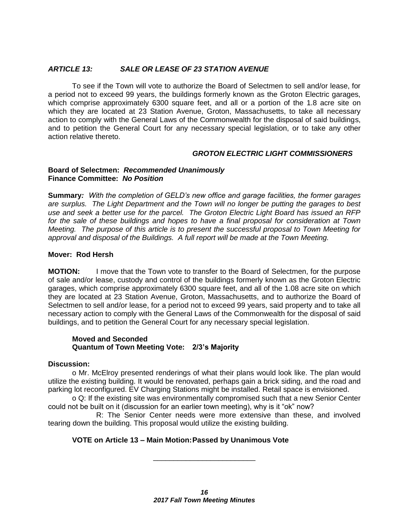#### *ARTICLE 13: SALE OR LEASE OF 23 STATION AVENUE*

To see if the Town will vote to authorize the Board of Selectmen to sell and/or lease, for a period not to exceed 99 years, the buildings formerly known as the Groton Electric garages, which comprise approximately 6300 square feet, and all or a portion of the 1.8 acre site on which they are located at 23 Station Avenue, Groton, Massachusetts, to take all necessary action to comply with the General Laws of the Commonwealth for the disposal of said buildings, and to petition the General Court for any necessary special legislation, or to take any other action relative thereto.

#### *GROTON ELECTRIC LIGHT COMMISSIONERS*

#### **Board of Selectmen:** *Recommended Unanimously* **Finance Committee:** *No Position*

**Summary***: With the completion of GELD's new office and garage facilities, the former garages are surplus. The Light Department and the Town will no longer be putting the garages to best use and seek a better use for the parcel. The Groton Electric Light Board has issued an RFP for the sale of these buildings and hopes to have a final proposal for consideration at Town Meeting. The purpose of this article is to present the successful proposal to Town Meeting for approval and disposal of the Buildings. A full report will be made at the Town Meeting.*

#### **Mover: Rod Hersh**

**MOTION:** I move that the Town vote to transfer to the Board of Selectmen, for the purpose of sale and/or lease, custody and control of the buildings formerly known as the Groton Electric garages, which comprise approximately 6300 square feet, and all of the 1.08 acre site on which they are located at 23 Station Avenue, Groton, Massachusetts, and to authorize the Board of Selectmen to sell and/or lease, for a period not to exceed 99 years, said property and to take all necessary action to comply with the General Laws of the Commonwealth for the disposal of said buildings, and to petition the General Court for any necessary special legislation.

#### **Moved and Seconded Quantum of Town Meeting Vote: 2/3's Majority**

#### **Discussion:**

o Mr. McElroy presented renderings of what their plans would look like. The plan would utilize the existing building. It would be renovated, perhaps gain a brick siding, and the road and parking lot reconfigured. EV Charging Stations might be installed. Retail space is envisioned.

o Q: If the existing site was environmentally compromised such that a new Senior Center could not be built on it (discussion for an earlier town meeting), why is it "ok" now?

R: The Senior Center needs were more extensive than these, and involved tearing down the building. This proposal would utilize the existing building.

\_\_\_\_\_\_\_\_\_\_\_\_\_\_\_\_\_\_\_\_\_\_\_\_\_

#### **VOTE on Article 13 – Main Motion:Passed by Unanimous Vote**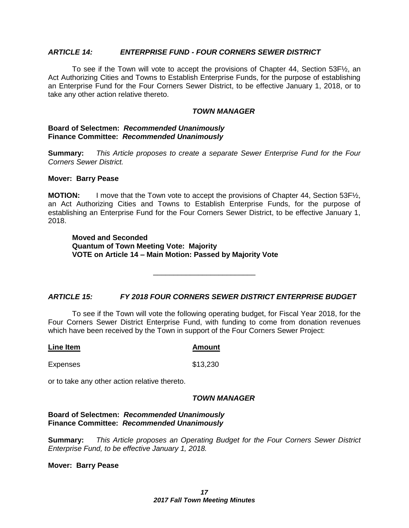#### *ARTICLE 14: ENTERPRISE FUND - FOUR CORNERS SEWER DISTRICT*

To see if the Town will vote to accept the provisions of Chapter 44, Section 53F½, an Act Authorizing Cities and Towns to Establish Enterprise Funds, for the purpose of establishing an Enterprise Fund for the Four Corners Sewer District, to be effective January 1, 2018, or to take any other action relative thereto.

#### *TOWN MANAGER*

#### **Board of Selectmen:** *Recommended Unanimously* **Finance Committee:** *Recommended Unanimously*

**Summary:** *This Article proposes to create a separate Sewer Enterprise Fund for the Four Corners Sewer District.* 

#### **Mover: Barry Pease**

**MOTION:** I move that the Town vote to accept the provisions of Chapter 44, Section 53F $\frac{1}{2}$ , an Act Authorizing Cities and Towns to Establish Enterprise Funds, for the purpose of establishing an Enterprise Fund for the Four Corners Sewer District, to be effective January 1, 2018.

**Moved and Seconded Quantum of Town Meeting Vote: Majority VOTE on Article 14 – Main Motion: Passed by Majority Vote**

#### *ARTICLE 15: FY 2018 FOUR CORNERS SEWER DISTRICT ENTERPRISE BUDGET*

\_\_\_\_\_\_\_\_\_\_\_\_\_\_\_\_\_\_\_\_\_\_\_\_\_

To see if the Town will vote the following operating budget, for Fiscal Year 2018, for the Four Corners Sewer District Enterprise Fund, with funding to come from donation revenues which have been received by the Town in support of the Four Corners Sewer Project:

**Line Item Amount**

Expenses \$13,230

or to take any other action relative thereto.

#### *TOWN MANAGER*

**Board of Selectmen:** *Recommended Unanimously* **Finance Committee:** *Recommended Unanimously*

**Summary:** *This Article proposes an Operating Budget for the Four Corners Sewer District Enterprise Fund, to be effective January 1, 2018.*

**Mover: Barry Pease**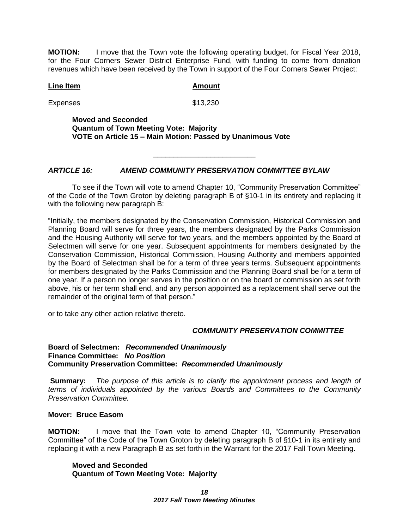**MOTION:** I move that the Town vote the following operating budget, for Fiscal Year 2018, for the Four Corners Sewer District Enterprise Fund, with funding to come from donation revenues which have been received by the Town in support of the Four Corners Sewer Project:

#### **Line Item Amount**

Expenses \$13,230

**Moved and Seconded Quantum of Town Meeting Vote: Majority VOTE on Article 15 – Main Motion: Passed by Unanimous Vote**

#### *ARTICLE 16: AMEND COMMUNITY PRESERVATION COMMITTEE BYLAW*

To see if the Town will vote to amend Chapter 10, "Community Preservation Committee" of the Code of the Town Groton by deleting paragraph B of §10-1 in its entirety and replacing it with the following new paragraph B:

\_\_\_\_\_\_\_\_\_\_\_\_\_\_\_\_\_\_\_\_\_\_\_\_\_

"Initially, the members designated by the Conservation Commission, Historical Commission and Planning Board will serve for three years, the members designated by the Parks Commission and the Housing Authority will serve for two years, and the members appointed by the Board of Selectmen will serve for one year. Subsequent appointments for members designated by the Conservation Commission, Historical Commission, Housing Authority and members appointed by the Board of Selectman shall be for a term of three years terms. Subsequent appointments for members designated by the Parks Commission and the Planning Board shall be for a term of one year. If a person no longer serves in the position or on the board or commission as set forth above, his or her term shall end, and any person appointed as a replacement shall serve out the remainder of the original term of that person."

or to take any other action relative thereto.

#### *COMMUNITY PRESERVATION COMMITTEE*

#### **Board of Selectmen:** *Recommended Unanimously* **Finance Committee:** *No Position* **Community Preservation Committee:** *Recommended Unanimously*

**Summary:** *The purpose of this article is to clarify the appointment process and length of terms of individuals appointed by the various Boards and Committees to the Community Preservation Committee.*

#### **Mover: Bruce Easom**

**MOTION:** I move that the Town vote to amend Chapter 10, "Community Preservation Committee" of the Code of the Town Groton by deleting paragraph B of §10-1 in its entirety and replacing it with a new Paragraph B as set forth in the Warrant for the 2017 Fall Town Meeting.

**Moved and Seconded Quantum of Town Meeting Vote: Majority**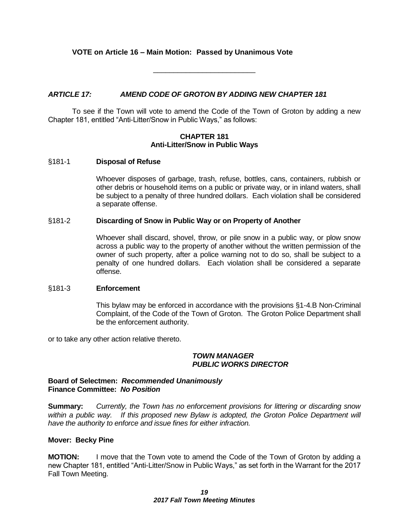### **VOTE on Article 16 – Main Motion: Passed by Unanimous Vote**

\_\_\_\_\_\_\_\_\_\_\_\_\_\_\_\_\_\_\_\_\_\_\_\_\_

#### *ARTICLE 17: AMEND CODE OF GROTON BY ADDING NEW CHAPTER 181*

To see if the Town will vote to amend the Code of the Town of Groton by adding a new Chapter 181, entitled "Anti-Litter/Snow in Public Ways," as follows:

#### **CHAPTER 181 Anti-Litter/Snow in Public Ways**

#### §181-1 **Disposal of Refuse**

Whoever disposes of garbage, trash, refuse, bottles, cans, containers, rubbish or other debris or household items on a public or private way, or in inland waters, shall be subject to a penalty of three hundred dollars. Each violation shall be considered a separate offense.

#### §181-2 **Discarding of Snow in Public Way or on Property of Another**

Whoever shall discard, shovel, throw, or pile snow in a public way, or plow snow across a public way to the property of another without the written permission of the owner of such property, after a police warning not to do so, shall be subject to a penalty of one hundred dollars. Each violation shall be considered a separate offense.

#### §181-3 **Enforcement**

This bylaw may be enforced in accordance with the provisions §1-4.B Non-Criminal Complaint, of the Code of the Town of Groton. The Groton Police Department shall be the enforcement authority.

or to take any other action relative thereto.

#### *TOWN MANAGER PUBLIC WORKS DIRECTOR*

#### **Board of Selectmen:** *Recommended Unanimously* **Finance Committee:** *No Position*

**Summary:** *Currently, the Town has no enforcement provisions for littering or discarding snow*  within a public way. If this proposed new Bylaw is adopted, the Groton Police Department will *have the authority to enforce and issue fines for either infraction.*

#### **Mover: Becky Pine**

**MOTION:** I move that the Town vote to amend the Code of the Town of Groton by adding a new Chapter 181, entitled "Anti-Litter/Snow in Public Ways," as set forth in the Warrant for the 2017 Fall Town Meeting.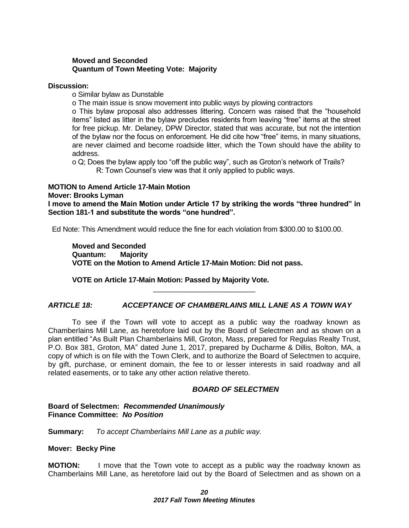#### **Moved and Seconded Quantum of Town Meeting Vote: Majority**

#### **Discussion:**

o Similar bylaw as Dunstable

o The main issue is snow movement into public ways by plowing contractors

o This bylaw proposal also addresses littering. Concern was raised that the "household items" listed as litter in the bylaw precludes residents from leaving "free" items at the street for free pickup. Mr. Delaney, DPW Director, stated that was accurate, but not the intention of the bylaw nor the focus on enforcement. He did cite how "free" items, in many situations, are never claimed and become roadside litter, which the Town should have the ability to address.

o Q; Does the bylaw apply too "off the public way", such as Groton's network of Trails? R: Town Counsel's view was that it only applied to public ways.

#### **MOTION to Amend Article 17-Main Motion Mover: Brooks Lyman I move to amend the Main Motion under Article 17 by striking the words "three hundred" in Section 181-1 and substitute the words "one hundred".**

Ed Note: This Amendment would reduce the fine for each violation from \$300.00 to \$100.00.

**Moved and Seconded Quantum: Majority VOTE on the Motion to Amend Article 17-Main Motion: Did not pass.**

### **VOTE on Article 17-Main Motion: Passed by Majority Vote.**

### *ARTICLE 18: ACCEPTANCE OF CHAMBERLAINS MILL LANE AS A TOWN WAY*

\_\_\_\_\_\_\_\_\_\_\_\_\_\_\_\_\_\_\_\_\_\_\_\_\_

To see if the Town will vote to accept as a public way the roadway known as Chamberlains Mill Lane, as heretofore laid out by the Board of Selectmen and as shown on a plan entitled "As Built Plan Chamberlains Mill, Groton, Mass, prepared for Regulas Realty Trust, P.O. Box 381, Groton, MA" dated June 1, 2017, prepared by Ducharme & Dillis, Bolton, MA, a copy of which is on file with the Town Clerk, and to authorize the Board of Selectmen to acquire, by gift, purchase, or eminent domain, the fee to or lesser interests in said roadway and all related easements, or to take any other action relative thereto.

#### *BOARD OF SELECTMEN*

#### **Board of Selectmen:** *Recommended Unanimously* **Finance Committee:** *No Position*

**Summary:** *To accept Chamberlains Mill Lane as a public way.*

#### **Mover: Becky Pine**

**MOTION:** I move that the Town vote to accept as a public way the roadway known as Chamberlains Mill Lane, as heretofore laid out by the Board of Selectmen and as shown on a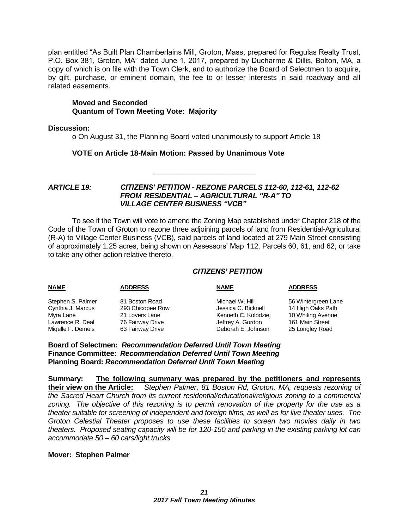plan entitled "As Built Plan Chamberlains Mill, Groton, Mass, prepared for Regulas Realty Trust, P.O. Box 381, Groton, MA" dated June 1, 2017, prepared by Ducharme & Dillis, Bolton, MA, a copy of which is on file with the Town Clerk, and to authorize the Board of Selectmen to acquire, by gift, purchase, or eminent domain, the fee to or lesser interests in said roadway and all related easements.

#### **Moved and Seconded Quantum of Town Meeting Vote: Majority**

#### **Discussion:**

o On August 31, the Planning Board voted unanimously to support Article 18

#### **VOTE on Article 18-Main Motion: Passed by Unanimous Vote**

#### *ARTICLE 19: CITIZENS' PETITION - REZONE PARCELS 112-60, 112-61, 112-62 FROM RESIDENTIAL – AGRICULTURAL "R-A" TO VILLAGE CENTER BUSINESS "VCB"*

To see if the Town will vote to amend the Zoning Map established under Chapter 218 of the Code of the Town of Groton to rezone three adjoining parcels of land from Residential-Agricultural (R-A) to Village Center Business (VCB), said parcels of land located at 279 Main Street consisting of approximately 1.25 acres, being shown on Assessors' Map 112, Parcels 60, 61, and 62, or take to take any other action relative thereto.

\_\_\_\_\_\_\_\_\_\_\_\_\_\_\_\_\_\_\_\_\_\_\_\_\_

#### *CITIZENS' PETITION*

| <b>NAME</b>       | <b>ADDRESS</b>   | <b>NAME</b>          | <b>ADDRESS</b>      |
|-------------------|------------------|----------------------|---------------------|
| Stephen S. Palmer | 81 Boston Road   | Michael W. Hill      | 56 Wintergreen Lane |
| Cynthia J. Marcus | 293 Chicopee Row | Jessica C. Bicknell  | 14 High Oaks Path   |
| Myra Lane         | 21 Lovers Lane   | Kenneth C. Kolodziej | 10 Whiting Avenue   |
| Lawrence R. Deal  | 76 Fairway Drive | Jeffrey A. Gordon    | 161 Main Street     |
| Migelle F. Demeis | 63 Fairway Drive | Deborah E. Johnson   | 25 Longley Road     |

**Board of Selectmen:** *Recommendation Deferred Until Town Meeting* **Finance Committee:** *Recommendation Deferred Until Town Meeting* **Planning Board:** *Recommendation Deferred Until Town Meeting*

**Summary: The following summary was prepared by the petitioners and represents their view on the Article:** *Stephen Palmer, 81 Boston Rd, Groton, MA, requests rezoning of the Sacred Heart Church from its current residential/educational/religious zoning to a commercial zoning. The objective of this rezoning is to permit renovation of the property for the use as a theater suitable for screening of independent and foreign films, as well as for live theater uses. The Groton Celestial Theater proposes to use these facilities to screen two movies daily in two theaters. Proposed seating capacity will be for 120-150 and parking in the existing parking lot can accommodate 50 – 60 cars/light trucks.*

#### **Mover: Stephen Palmer**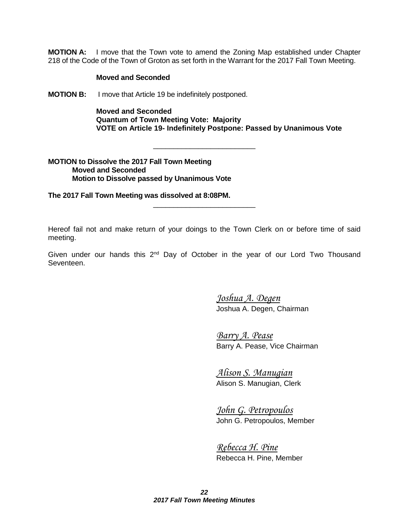**MOTION A:** I move that the Town vote to amend the Zoning Map established under Chapter 218 of the Code of the Town of Groton as set forth in the Warrant for the 2017 Fall Town Meeting.

#### **Moved and Seconded**

**MOTION B:** I move that Article 19 be indefinitely postponed.

**Moved and Seconded Quantum of Town Meeting Vote: Majority VOTE on Article 19- Indefinitely Postpone: Passed by Unanimous Vote**

#### **MOTION to Dissolve the 2017 Fall Town Meeting Moved and Seconded Motion to Dissolve passed by Unanimous Vote**

**The 2017 Fall Town Meeting was dissolved at 8:08PM.**

Hereof fail not and make return of your doings to the Town Clerk on or before time of said meeting.

\_\_\_\_\_\_\_\_\_\_\_\_\_\_\_\_\_\_\_\_\_\_\_\_\_

\_\_\_\_\_\_\_\_\_\_\_\_\_\_\_\_\_\_\_\_\_\_\_\_\_

Given under our hands this  $2^{nd}$  Day of October in the year of our Lord Two Thousand Seventeen.

> *Joshua A. Degen* Joshua A. Degen, Chairman

*Barry A. Pease* Barry A. Pease, Vice Chairman

*Alison S. Manugian* Alison S. Manugian, Clerk

*John G. Petropoulos* John G. Petropoulos, Member

*Rebecca H. Pine* Rebecca H. Pine, Member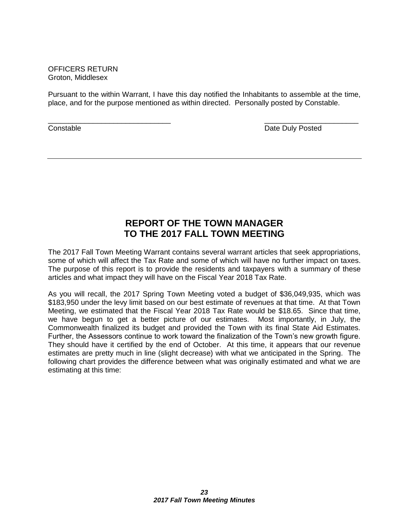OFFICERS RETURN Groton, Middlesex

Pursuant to the within Warrant, I have this day notified the Inhabitants to assemble at the time, place, and for the purpose mentioned as within directed. Personally posted by Constable.

 $\overline{\phantom{a}}$  , and the contract of the contract of the contract of the contract of the contract of the contract of the contract of the contract of the contract of the contract of the contract of the contract of the contrac **Constable Constable Constable Constable Constable Date Duly Posted** 

### **REPORT OF THE TOWN MANAGER TO THE 2017 FALL TOWN MEETING**

The 2017 Fall Town Meeting Warrant contains several warrant articles that seek appropriations, some of which will affect the Tax Rate and some of which will have no further impact on taxes. The purpose of this report is to provide the residents and taxpayers with a summary of these articles and what impact they will have on the Fiscal Year 2018 Tax Rate.

As you will recall, the 2017 Spring Town Meeting voted a budget of \$36,049,935, which was \$183,950 under the levy limit based on our best estimate of revenues at that time. At that Town Meeting, we estimated that the Fiscal Year 2018 Tax Rate would be \$18.65. Since that time, we have begun to get a better picture of our estimates. Most importantly, in July, the Commonwealth finalized its budget and provided the Town with its final State Aid Estimates. Further, the Assessors continue to work toward the finalization of the Town's new growth figure. They should have it certified by the end of October. At this time, it appears that our revenue estimates are pretty much in line (slight decrease) with what we anticipated in the Spring. The following chart provides the difference between what was originally estimated and what we are estimating at this time: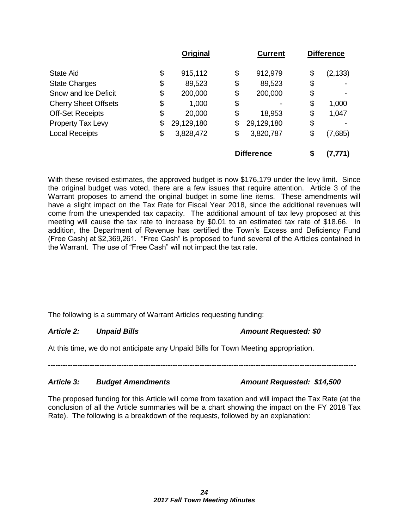|                                   | Original   | <b>Current</b>    | <b>Difference</b> |
|-----------------------------------|------------|-------------------|-------------------|
| \$<br><b>State Aid</b>            | 915,112    | \$<br>912,979     | \$<br>(2, 133)    |
| \$<br><b>State Charges</b>        | 89,523     | \$<br>89,523      | \$                |
| \$<br>Snow and Ice Deficit        | 200,000    | \$<br>200,000     | \$                |
| <b>Cherry Sheet Offsets</b><br>\$ | 1,000      | \$                | \$<br>1,000       |
| <b>Off-Set Receipts</b><br>\$     | 20,000     | \$<br>18,953      | \$<br>1,047       |
| Property Tax Levy<br>\$           | 29,129,180 | \$<br>29,129,180  | \$                |
| <b>Local Receipts</b><br>\$       | 3,828,472  | \$<br>3,820,787   | \$<br>(7,685)     |
|                                   |            | <b>Difference</b> | \$<br>(7,771)     |

With these revised estimates, the approved budget is now \$176,179 under the levy limit. Since the original budget was voted, there are a few issues that require attention. Article 3 of the Warrant proposes to amend the original budget in some line items. These amendments will have a slight impact on the Tax Rate for Fiscal Year 2018, since the additional revenues will come from the unexpended tax capacity. The additional amount of tax levy proposed at this meeting will cause the tax rate to increase by \$0.01 to an estimated tax rate of \$18.66. In addition, the Department of Revenue has certified the Town's Excess and Deficiency Fund (Free Cash) at \$2,369,261. "Free Cash" is proposed to fund several of the Articles contained in the Warrant. The use of "Free Cash" will not impact the tax rate.

The following is a summary of Warrant Articles requesting funding:

### *Article 2: Unpaid Bills Amount Requested: \$0*

At this time, we do not anticipate any Unpaid Bills for Town Meeting appropriation.

*------------------------------------------------------------------------------------------------------------------------------*

### *Article 3: Budget Amendments Amount Requested: \$14,500*

The proposed funding for this Article will come from taxation and will impact the Tax Rate (at the conclusion of all the Article summaries will be a chart showing the impact on the FY 2018 Tax Rate). The following is a breakdown of the requests, followed by an explanation: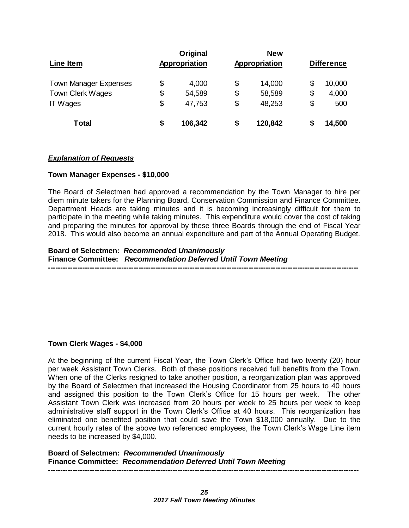| Line Item                    | Original<br>Appropriation |    | <b>New</b><br>Appropriation |    | <b>Difference</b> |
|------------------------------|---------------------------|----|-----------------------------|----|-------------------|
| <b>Town Manager Expenses</b> | \$<br>4,000               | \$ | 14,000                      | \$ | 10,000            |
| Town Clerk Wages             | \$<br>54,589              | \$ | 58,589                      | \$ | 4,000             |
| <b>IT Wages</b>              | \$<br>47,753              | \$ | 48,253                      | \$ | 500               |
| <b>Total</b>                 | \$<br>106,342             | S  | 120,842                     | S  | 14,500            |

### *Explanation of Requests*

#### **Town Manager Expenses - \$10,000**

The Board of Selectmen had approved a recommendation by the Town Manager to hire per diem minute takers for the Planning Board, Conservation Commission and Finance Committee. Department Heads are taking minutes and it is becoming increasingly difficult for them to participate in the meeting while taking minutes. This expenditure would cover the cost of taking and preparing the minutes for approval by these three Boards through the end of Fiscal Year 2018. This would also become an annual expenditure and part of the Annual Operating Budget.

**Board of Selectmen:** *Recommended Unanimously* **Finance Committee:** *Recommendation Deferred Until Town Meeting* **-------------------------------------------------------------------------------------------------------------------------------**

### **Town Clerk Wages - \$4,000**

At the beginning of the current Fiscal Year, the Town Clerk's Office had two twenty (20) hour per week Assistant Town Clerks. Both of these positions received full benefits from the Town. When one of the Clerks resigned to take another position, a reorganization plan was approved by the Board of Selectmen that increased the Housing Coordinator from 25 hours to 40 hours and assigned this position to the Town Clerk's Office for 15 hours per week. The other Assistant Town Clerk was increased from 20 hours per week to 25 hours per week to keep administrative staff support in the Town Clerk's Office at 40 hours. This reorganization has eliminated one benefited position that could save the Town \$18,000 annually. Due to the current hourly rates of the above two referenced employees, the Town Clerk's Wage Line item needs to be increased by \$4,000.

**Board of Selectmen:** *Recommended Unanimously* **Finance Committee:** *Recommendation Deferred Until Town Meeting*  **-------------------------------------------------------------------------------------------------------------------------------**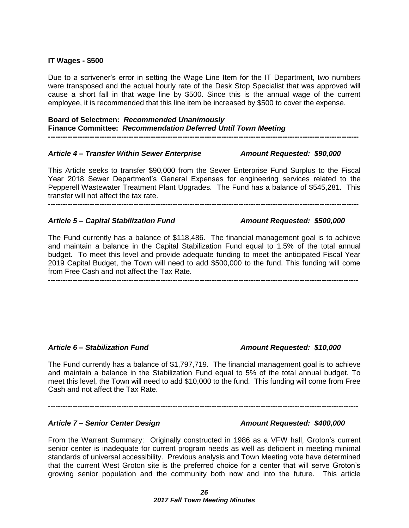#### **IT Wages - \$500**

Due to a scrivener's error in setting the Wage Line Item for the IT Department, two numbers were transposed and the actual hourly rate of the Desk Stop Specialist that was approved will cause a short fall in that wage line by \$500. Since this is the annual wage of the current employee, it is recommended that this line item be increased by \$500 to cover the expense.

**Board of Selectmen:** *Recommended Unanimously* **Finance Committee:** *Recommendation Deferred Until Town Meeting*  **-------------------------------------------------------------------------------------------------------------------------------**

#### *Article 4 – Transfer Within Sewer Enterprise Amount Requested: \$90,000*

This Article seeks to transfer \$90,000 from the Sewer Enterprise Fund Surplus to the Fiscal Year 2018 Sewer Department's General Expenses for engineering services related to the Pepperell Wastewater Treatment Plant Upgrades. The Fund has a balance of \$545,281. This transfer will not affect the tax rate.

**-------------------------------------------------------------------------------------------------------------------------------**

### *Article 5 – Capital Stabilization Fund Amount Requested: \$500,000*

The Fund currently has a balance of \$118,486. The financial management goal is to achieve and maintain a balance in the Capital Stabilization Fund equal to 1.5% of the total annual budget. To meet this level and provide adequate funding to meet the anticipated Fiscal Year 2019 Capital Budget, the Town will need to add \$500,000 to the fund. This funding will come from Free Cash and not affect the Tax Rate.

**-------------------------------------------------------------------------------------------------------------------------------**

### *Article 6 – Stabilization Fund Amount Requested: \$10,000*

The Fund currently has a balance of \$1,797,719. The financial management goal is to achieve and maintain a balance in the Stabilization Fund equal to 5% of the total annual budget. To meet this level, the Town will need to add \$10,000 to the fund. This funding will come from Free Cash and not affect the Tax Rate.

**-------------------------------------------------------------------------------------------------------------------------------**

### *Article 7 – Senior Center Design Amount Requested: \$400,000*

From the Warrant Summary: Originally constructed in 1986 as a VFW hall, Groton's current senior center is inadequate for current program needs as well as deficient in meeting minimal standards of universal accessibility. Previous analysis and Town Meeting vote have determined that the current West Groton site is the preferred choice for a center that will serve Groton's growing senior population and the community both now and into the future. This article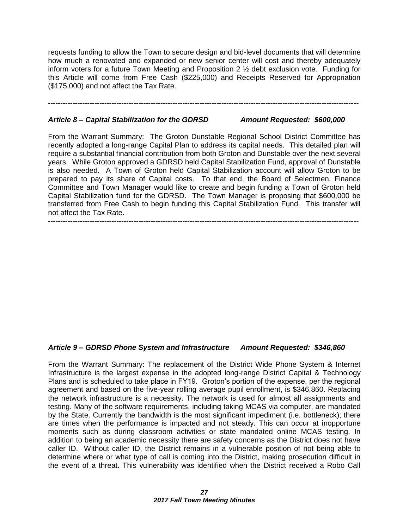requests funding to allow the Town to secure design and bid-level documents that will determine how much a renovated and expanded or new senior center will cost and thereby adequately inform voters for a future Town Meeting and Proposition 2 ½ debt exclusion vote. Funding for this Article will come from Free Cash (\$225,000) and Receipts Reserved for Appropriation (\$175,000) and not affect the Tax Rate.

**-------------------------------------------------------------------------------------------------------------------------------**

#### *Article 8 – Capital Stabilization for the GDRSD Amount Requested: \$600,000*

From the Warrant Summary: The Groton Dunstable Regional School District Committee has recently adopted a long-range Capital Plan to address its capital needs. This detailed plan will require a substantial financial contribution from both Groton and Dunstable over the next several years. While Groton approved a GDRSD held Capital Stabilization Fund, approval of Dunstable is also needed. A Town of Groton held Capital Stabilization account will allow Groton to be prepared to pay its share of Capital costs. To that end, the Board of Selectmen, Finance Committee and Town Manager would like to create and begin funding a Town of Groton held Capital Stabilization fund for the GDRSD. The Town Manager is proposing that \$600,000 be transferred from Free Cash to begin funding this Capital Stabilization Fund. This transfer will not affect the Tax Rate.

**-------------------------------------------------------------------------------------------------------------------------------**

#### *Article 9 – GDRSD Phone System and Infrastructure Amount Requested: \$346,860*

From the Warrant Summary: The replacement of the District Wide Phone System & Internet Infrastructure is the largest expense in the adopted long-range District Capital & Technology Plans and is scheduled to take place in FY19. Groton's portion of the expense, per the regional agreement and based on the five-year rolling average pupil enrollment, is \$346,860. Replacing the network infrastructure is a necessity. The network is used for almost all assignments and testing. Many of the software requirements, including taking MCAS via computer, are mandated by the State. Currently the bandwidth is the most significant impediment (i.e. bottleneck); there are times when the performance is impacted and not steady. This can occur at inopportune moments such as during classroom activities or state mandated online MCAS testing. In addition to being an academic necessity there are safety concerns as the District does not have caller ID. Without caller ID, the District remains in a vulnerable position of not being able to determine where or what type of call is coming into the District, making prosecution difficult in the event of a threat. This vulnerability was identified when the District received a Robo Call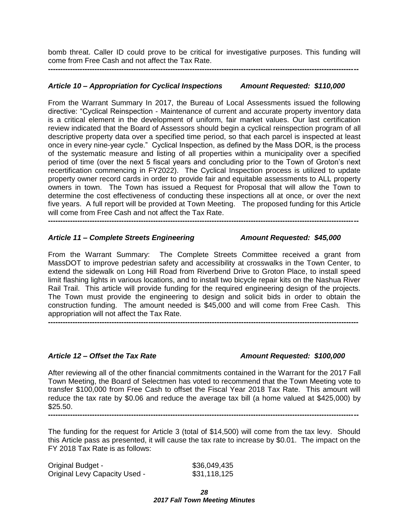bomb threat. Caller ID could prove to be critical for investigative purposes. This funding will come from Free Cash and not affect the Tax Rate.

**-------------------------------------------------------------------------------------------------------------------------------**

#### *Article 10 – Appropriation for Cyclical Inspections Amount Requested: \$110,000*

From the Warrant Summary In 2017, the Bureau of Local Assessments issued the following directive: "Cyclical Reinspection - Maintenance of current and accurate property inventory data is a critical element in the development of uniform, fair market values. Our last certification review indicated that the Board of Assessors should begin a cyclical reinspection program of all descriptive property data over a specified time period, so that each parcel is inspected at least once in every nine-year cycle." Cyclical Inspection, as defined by the Mass DOR, is the process of the systematic measure and listing of all properties within a municipality over a specified period of time (over the next 5 fiscal years and concluding prior to the Town of Groton's next recertification commencing in FY2022). The Cyclical Inspection process is utilized to update property owner record cards in order to provide fair and equitable assessments to ALL property owners in town. The Town has issued a Request for Proposal that will allow the Town to determine the cost effectiveness of conducting these inspections all at once, or over the next five years. A full report will be provided at Town Meeting. The proposed funding for this Article will come from Free Cash and not affect the Tax Rate.

**-------------------------------------------------------------------------------------------------------------------------------**

#### *Article 11 – Complete Streets Engineering Amount Requested: \$45,000*

From the Warrant Summary: The Complete Streets Committee received a grant from MassDOT to improve pedestrian safety and accessibility at crosswalks in the Town Center, to extend the sidewalk on Long Hill Road from Riverbend Drive to Groton Place, to install speed limit flashing lights in various locations, and to install two bicycle repair kits on the Nashua River Rail Trail. This article will provide funding for the required engineering design of the projects. The Town must provide the engineering to design and solicit bids in order to obtain the construction funding. The amount needed is \$45,000 and will come from Free Cash. This appropriation will not affect the Tax Rate. **-------------------------------------------------------------------------------------------------------------------------------**

#### *Article 12 – Offset the Tax Rate Amount Requested: \$100,000*

After reviewing all of the other financial commitments contained in the Warrant for the 2017 Fall Town Meeting, the Board of Selectmen has voted to recommend that the Town Meeting vote to transfer \$100,000 from Free Cash to offset the Fiscal Year 2018 Tax Rate. This amount will reduce the tax rate by \$0.06 and reduce the average tax bill (a home valued at \$425,000) by \$25.50. **-------------------------------------------------------------------------------------------------------------------------------**

The funding for the request for Article 3 (total of \$14,500) will come from the tax levy. Should this Article pass as presented, it will cause the tax rate to increase by \$0.01. The impact on the FY 2018 Tax Rate is as follows:

| <b>Original Budget -</b>             | \$36,049,435 |
|--------------------------------------|--------------|
| <b>Original Levy Capacity Used -</b> | \$31,118,125 |